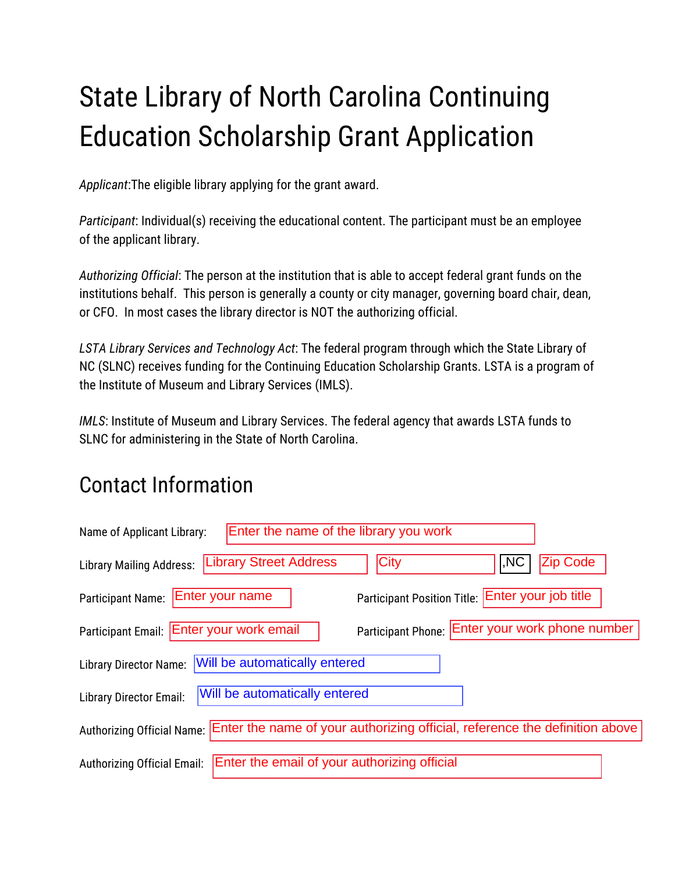# State Library of North Carolina Continuing Education Scholarship Grant Application

*Applicant*:The eligible library applying for the grant award.

*Participant*: Individual(s) receiving the educational content. The participant must be an employee of the applicant library.

*Authorizing Official*: The person at the institution that is able to accept federal grant funds on the institutions behalf. This person is generally a county or city manager, governing board chair, dean, or CFO. In most cases the library director is NOT the authorizing official.

*LSTA Library Services and Technology Act*: The federal program through which the State Library of NC (SLNC) receives funding for the Continuing Education Scholarship Grants. LSTA is a program of the Institute of Museum and Library Services (IMLS).

*IMLS*: Institute of Museum and Library Services. The federal agency that awards LSTA funds to SLNC for administering in the State of North Carolina.

## Contact Information

| Enter the name of the library you work<br>Name of Applicant Library:                                       |
|------------------------------------------------------------------------------------------------------------|
| <b>City</b><br><b>Zip Code</b><br><b>Library Street Address</b><br>I,NC<br><b>Library Mailing Address:</b> |
| Participant Position Title: Enter your job title<br>Enter your name<br><b>Participant Name:</b>            |
| Participant Phone: Enter your work phone number<br>Participant Email: Enter your work email                |
| Will be automatically entered<br><b>Library Director Name:</b>                                             |
| Will be automatically entered<br><b>Library Director Email:</b>                                            |
| Enter the name of your authorizing official, reference the definition above<br>Authorizing Official Name:  |
| Enter the email of your authorizing official<br><b>Authorizing Official Email:</b>                         |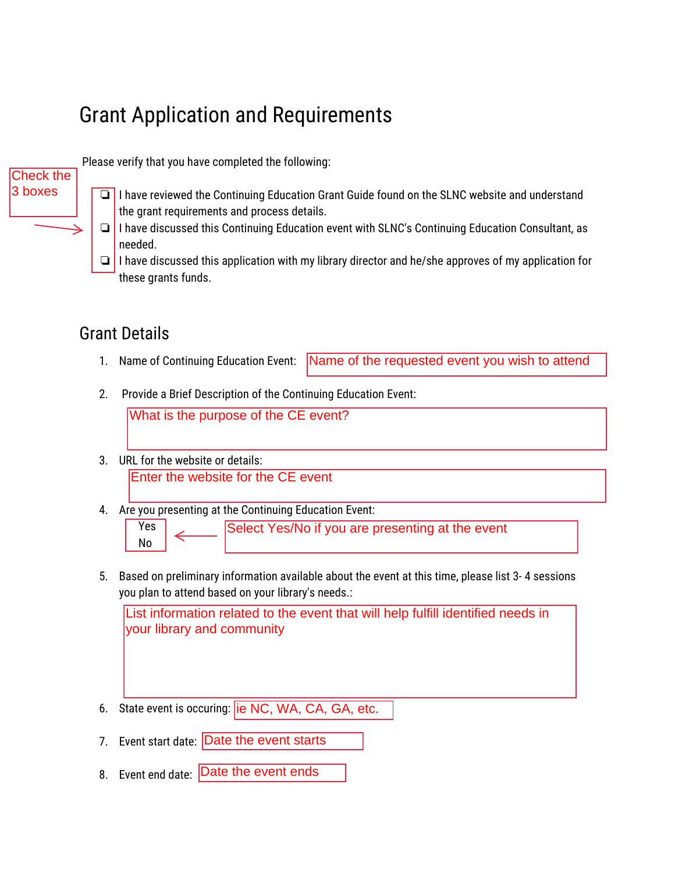## Grant Application and Requirements

Please verify that you have completed the following:

- ❏ I have reviewed the Continuing Education Grant Guide found on the SLNC website and understand the grant requirements and process details.
- ❏ I have discussed this Continuing Education event with SLNC's Continuing Education Consultant, as needed.
- ❏ I have discussed this application with my library director and he/she approves of my application for these grants funds.

#### Grant Details

Check the 3 boxes

- 1. Name of Continuing Education Event: Name of the requested event you wish to attend
- 2. Provide a Brief Description of the Continuing Education Event:

What is the purpose of the CE event?

- 3. URL for the website or details: Enter the website for the CE event
- 4. Are you presenting at the Continuing Education Event:



5. Based on preliminary information available about the event at this time, please list 3- 4 sessions you plan to attend based on your library's needs.:

List information related to the event that will help fulfill identified needs in your library and community

- 6. State event is occuring: *ie NC*, WA, CA, GA, etc.
- 7. Event start date: Date the event starts
- 8. Event end date: **Date the event ends**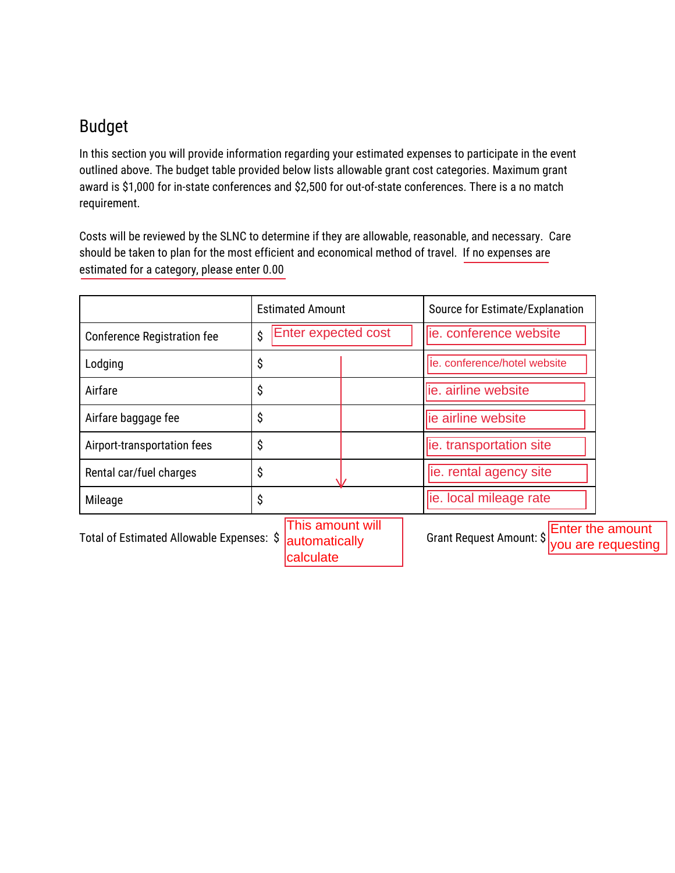#### Budget

In this section you will provide information regarding your estimated expenses to participate in the event outlined above. The budget table provided below lists allowable grant cost categories. Maximum grant award is \$1,000 for in-state conferences and \$2,500 for out-of-state conferences. There is a no match requirement.

Costs will be reviewed by the SLNC to determine if they are allowable, reasonable, and necessary. Care should be taken to plan for the most efficient and economical method of travel. If no expenses are estimated for a category, please enter 0.00

|                                           | <b>Estimated Amount</b>           | Source for Estimate/Explanation                                           |
|-------------------------------------------|-----------------------------------|---------------------------------------------------------------------------|
| <b>Conference Registration fee</b>        | Enter expected cost<br>\$         | lie. conference website                                                   |
| Lodging                                   | \$                                | lie. conference/hotel website                                             |
| Airfare                                   | \$                                | lie. airline website                                                      |
| Airfare baggage fee                       | \$                                | ie airline website                                                        |
| Airport-transportation fees               | \$                                | ie. transportation site                                                   |
| Rental car/fuel charges                   | \$                                | lie. rental agency site                                                   |
| Mileage                                   | \$                                | ie. local mileage rate                                                    |
| Total of Estimated Allowable Expenses: \$ | This amount will<br>automatically | <b>Enter the amount</b><br>Grant Request Amount: \$<br>you are requesting |

calculate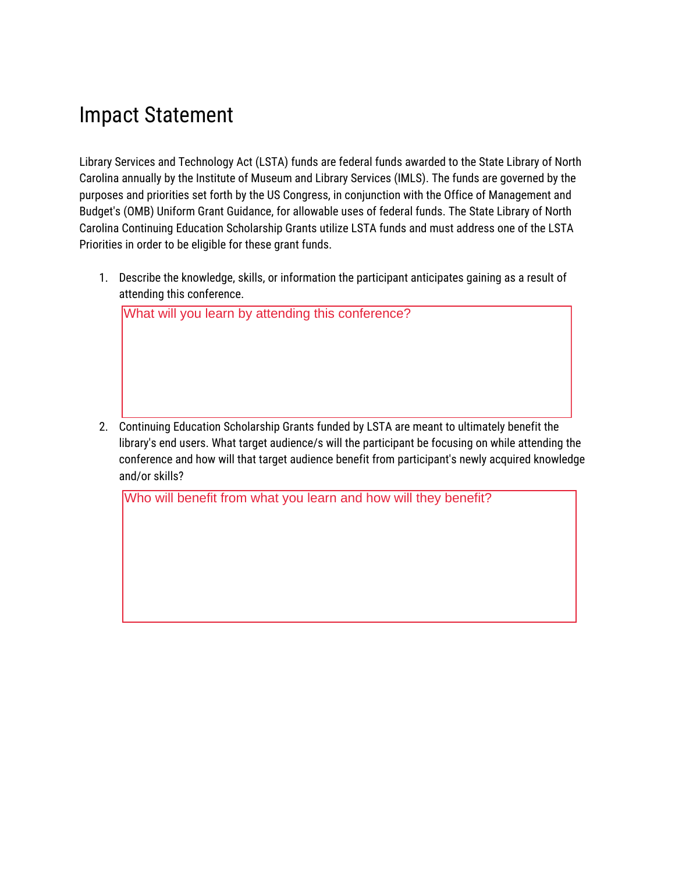### Impact Statement

Library Services and Technology Act (LSTA) funds are federal funds awarded to the State Library of North Carolina annually by the Institute of Museum and Library Services (IMLS). The funds are governed by the purposes and priorities set forth by the US Congress, in conjunction with the Office of Management and Budget's (OMB) Uniform Grant Guidance, for allowable uses of federal funds. The State Library of North Carolina Continuing Education Scholarship Grants utilize LSTA funds and must address one of the LSTA Priorities in order to be eligible for these grant funds.

1. Describe the knowledge, skills, or information the participant anticipates gaining as a result of attending this conference.

What will you learn by attending this conference?

2. Continuing Education Scholarship Grants funded by LSTA are meant to ultimately benefit the library's end users. What target audience/s will the participant be focusing on while attending the conference and how will that target audience benefit from participant's newly acquired knowledge and/or skills?

Who will benefit from what you learn and how will they benefit?